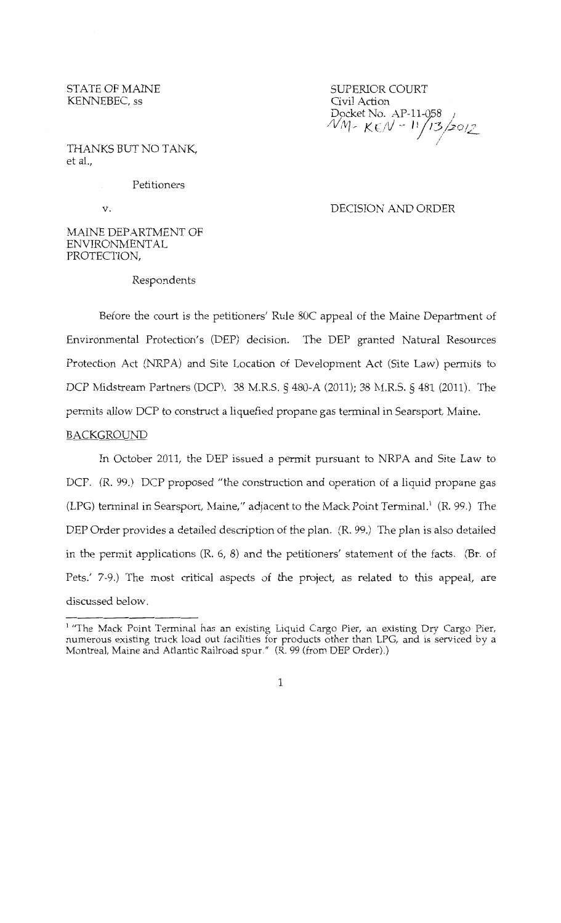STATE OF MAINE KENNEBEC, ss

SUPERIOR COURT Civil Action Docket No. AP-11-058<br>*NM - KEN - 11 | 13 | 2012* /

THANKS BUT NO TANK, et al.,

Petitioners

v.

## DECISION AND ORDER

# MAINE DEPARTMENT OF ENVIRONMENTAL PROTECTION,

Respondents

Before the court is the petitioners' Rule SOC appeal of the Maine Department of Environmental Protection's (DEP) decision. The DEP granted Natural Resources Protection Act (NRPA) and Site Location of Development Act (Site Law) permits to DCP Midstream Partners (DCP). 38 M.R.S. § 480-A (2011); 38 M.R.S. § 481 (2011). The permits allow DCP to construct a liquefied propane gas terminal in Searsport, Maine.

## BACKGROUND

In October 2011, the DEP issued a permit pursuant to NRPA and Site Law to DCP. (R. 99.) DCP proposed "the construction and operation of a liquid propane gas (LPG) terminal in Searsport, Maine," adjacent to the Mack Point Terminal. $<sup>1</sup>$  (R. 99.) The</sup> DEP Order provides a detailed description of the plan. (R. 99.) The plan is also detailed in the permit applications (R. 6, 8) and the petitioners' statement of the facts. (Br. of Pets.' 7-9.) The most critical aspects of the project, as related to this appeal, are discussed below.

<sup>&</sup>lt;sup>1</sup> "The Mack Point Terminal has an existing Liquid Cargo Pier, an existing Dry Cargo Pier, numerous existing truck load out facilities for products other than LPG, and is serviced by a Montreal, Maine and Atlantic Railroad spur." (R. 99 (from DEP Order).)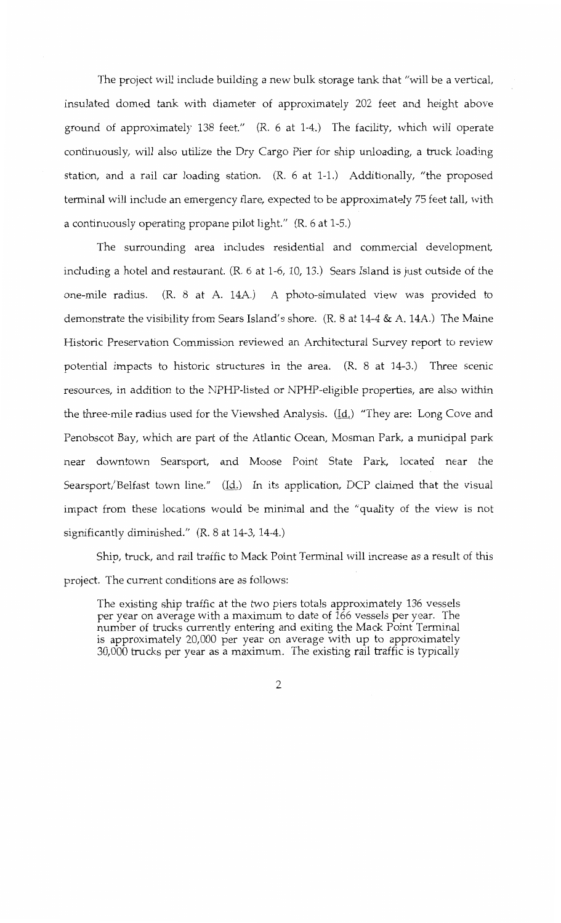The project will include building a new bulk storage tank that "will be a vertical, insulated domed tank with diameter of approximately 202 feet and height above ground of approximately 138 feet." (R. 6 at 1-4.) The facility, which will operate continuously, will also utilize the Dry Cargo Pier for ship unloading, a truck loading station, and a rail car loading station. (R. 6 at 1-1.) Additionally, "the proposed terminal will include an emergency flare, expected to be approximately 75 feet tall, with a continuously operating propane pilot light." (R. 6 at 1-5.)

The surrounding area includes residential and commercial development, including a hotel and restaurant. (R. 6 at 1-6, 10, 13.) Sears Island is just outside of the one-mile radius. (R. 8 at A. 14A.) A photo-simulated view was provided to demonstrate the visibility from Sears Island's shore. (R. 8 at 14-4 & A. 14A.) The Maine Historic Preservation Commission reviewed an Architectural Survey report to review potential impacts to historic structures in the area. (R. 8 at 14-3.) Three scenic resources, in addition to the NPHP-listed or NPHP-eligible properties, are also within the three-mile radius used for the Viewshed Analysis. (Id.) "They are: Long Cove and Penobscot Bay, which are part of the Atlantic Ocean, Mosman Park, a municipal park near downtown Searsport, and Moose Point State Park, located near the Searsport/Belfast town line."  $(\underline{Id.})$  In its application, DCP claimed that the visual impact from these locations would be minimal and the "quality of the view is not significantly diminished." (R. 8 at 14-3, 14-4.)

Ship, truck, and rail traffic to Mack Point Terminal will increase as a result of this project. The current conditions are as follows:

The existing ship traffic at the two piers totals approximately 136 vessels per year on average with a maximum to date of 166 vessels per year. The number of trucks currently entering and exiting the Mack Point Terminal is approximately 20,000 per year on average with up to approximately 30,000 trucks per year as a maximum. The existing rail traffic is typically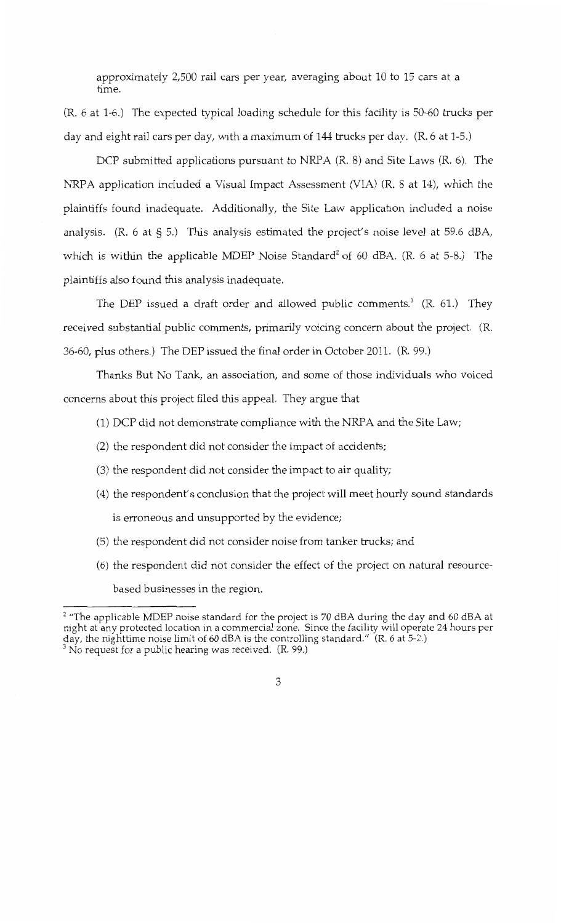approximately 2,500 rail cars per year, averaging about 10 to 15 cars at a time.

(R. 6 at 1-6.) The expected typical loading schedule for this facility is 50-60 trucks per day and eight rail cars per day, with a maximum of 144 trucks per day. (R. 6 at 1-5.)

DCP submitted applications pursuant to NRPA  $(R, 8)$  and Site Laws  $(R, 6)$ . The NRPA application included a Visual Impact Assessment (VIA) (R. 8 at 14), which the plaintiffs found inadequate. Additionally, the Site Law application included a noise analysis. (R. 6 at § 5.) This analysis estimated the project's noise level at 59.6 dBA, which is within the applicable MDEP Noise Standard<sup>2</sup> of 60 dBA.  $(R. 6$  at 5-8.) The plaintiffs also found this analysis inadequate.

The DEP issued a draft order and allowed public comments.<sup>3</sup> (R. 61.) They received substantial public comments, primarily voicing concern about the project. (R. 36-60, plus others.) The DEP issued the final order in October 2011. (R. 99.)

Thanks But No Tank, an association, and some of those individuals who voiced concerns about this project filed this appeal. They argue that

(1) DCP did not demonstrate compliance with the NRPA and the Site Law;

- (2) the respondent did not consider the impact of accidents;
- (3) the respondent did not consider the impact to air quality;
- (4) the respondent's conclusion that the project will meet hourly sound standards is erroneous and unsupported by the evidence;
- (5) the respondent did not consider noise from tanker trucks; and
- (6) the respondent did not consider the effect of the project on natural resourcebased businesses in the region.

 $2$  "The applicable MDEP noise standard for the project is 70 dBA during the day and 60 dBA at night at any protected location in a commercial zone. Since the facility will operate 24 hours per day, the nighttime noise limit of 60 dBA is the controlling standard." (R. 6 at 5-2.)

 $3$  No request for a public hearing was received. (R. 99.)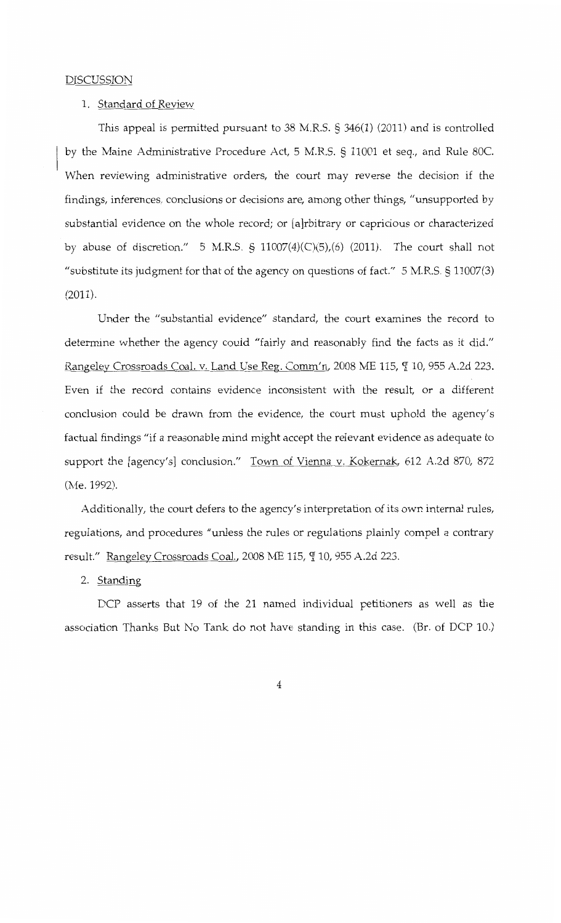#### DISCUSSION

#### 1. Standard of Review

This appeal is permitted pursuant to 38 M.R.S. § 346(1) (2011) and is controlled by the Maine Administrative Procedure Act, 5 M.R.S. § 11001 et seq., and Rule SOC. When reviewing administrative orders, the court may reverse the decision if the findings, inferences, conclusions or decisions are, among other things, "unsupported by substantial evidence on the whole record; or [a]rbitrary or capricious or characterized by abuse of discretion." 5 M.R.S. § 11007(4)(C)(5),(6) (2011). The court shall not "substitute its judgment for that of the agency on questions of fact." 5 M.R.S. § 11007(3) (2011).

Under the "substantial evidence" standard, the court examines the record to determine whether the agency could "fairly and reasonably find the facts as it did." Rangeley Crossroads Coal. v. Land Use Reg. Comm'n, 2008 ME 115,  $\P$  10, 955 A.2d 223. Even if the record contains evidence inconsistent with the result, or a different conclusion could be drawn from the evidence, the court must uphold the agency's factual findings "if a reasonable mind might accept the relevant evidence as adequate to support the [agency's] conclusion." Town of Vienna v. Kokernak, 612 A.2d 870, 872 (Me. 1992).

Additionally, the court defers to the agency's interpretation of its own internal rules, regulations, and procedures "unless the rules or regulations plainly compel a contrary result." Rangeley Crossroads Coal., 2008 ME 115,  $\P$  10, 955 A.2d 223.

2. <u>Standing</u>

DCP asserts that 19 of the 21 named individual petitioners as well as the association Thanks But No Tank do not have standing in this case. (Br. of DCP 10.)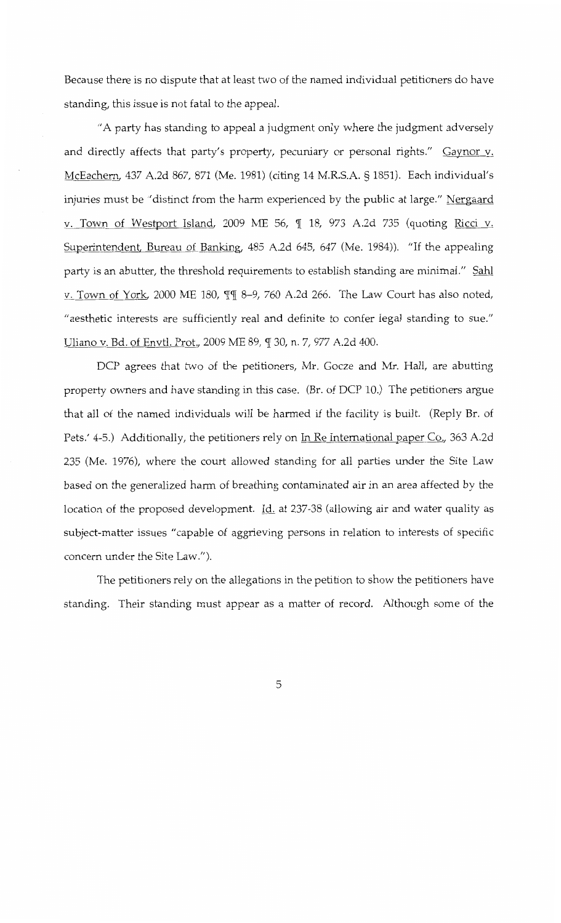Because there is no dispute that at least two of the named individual petitioners do have standing, this issue is not fatal to the appeal.

"A party has standing to appeal a judgment only where the judgment adversely and directly affects that party's property, pecuniary or personal rights." Gaynor v. McEachern, 437 A.2d 867, 871 (Me. 1981) (citing 14 M.R.S.A. § 1851). Each individual's injuries must be "distinct from the harm experienced by the public at large." Nergaard v. Town of Westport Island, 2009 ME 56, ¶ 18, 973 A.2d 735 (quoting Ricci v. Superintendent, Bureau of Banking, 485 A.2d 645, 647 (Me. 1984)). "If the appealing party is an abutter, the threshold requirements to establish standing are minimal." Sahl v. Town of York, 2000 ME 180, II 8-9, 760 A.2d 266. The Law Court has also noted, "aesthetic interests are sufficiently real and definite to confer legal standing to sue." Uliano v. Bd. of Envtl. Prot., 2009 ME 89, ¶ 30, n. 7, 977 A.2d 400.

DCP agrees that two of the petitioners, Mr. Gocze and Mr. Hall, are abutting property owners and have standing in this case. (Br. of DCP 10.) The petitioners argue that all of the named individuals will be harmed if the facility is built. (Reply Br. of Pets.' 4-5.) Additionally, the petitioners rely on In Re International paper Co., 363 A.2d 235 (Me. 1976), where the court allowed standing for all parties under the Site Law based on the generalized harm of breathing contaminated air in an area affected by the location of the proposed development. Id. at 237-38 (allowing air and water quality as subject-matter issues "capable of aggrieving persons in relation to interests of specific concern under the Site Law.").

The petitioners rely on the allegations in the petition to show the petitioners have standing. Their standing must appear as a matter of record. Although some of the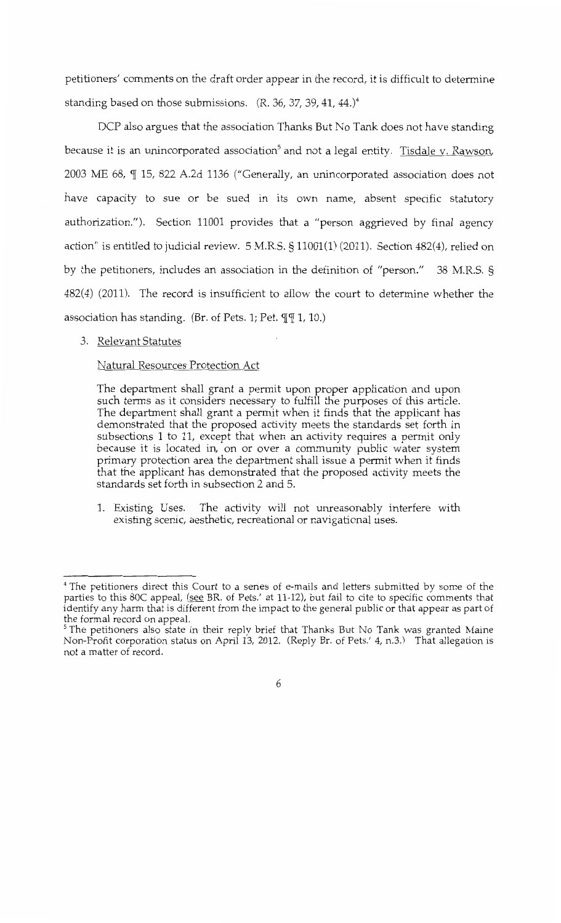petitioners' comments on the draft order appear in the record, it is difficult to determine standing based on those submissions.  $(R. 36, 37, 39, 41, 44.)$ <sup>4</sup>

DCP also argues that the association Thanks But No Tank does not have standing because it is an unincorporated association<sup>5</sup> and not a legal entity. Tisdale v. Rawson, 2003 ME 68,  $\P$  15, 822 A.2d 1136 ("Generally, an unincorporated association does not have capacity to sue or be sued in its own name, absent specific statutory authorization."). Section 11001 provides that a "person aggrieved by final agency action" is entitled to judicial review. 5 M.R.S. § 11001(1) (2011). Section 482(4), relied on by the petitioners, includes an association in the definition of "person." 38 M.R.S. § 482(4) (2011). The record is insufficient to allow the court to determine whether the association has standing. (Br. of Pets. 1; Pet.  $\P$  $\P$  1, 10.)

## 3. Relevant Statutes

## Natural Resources Protection Act

The department shall grant a permit upon proper application and upon such terms as it considers necessary to fulfill the purposes of this article. The department shall grant a permit when it finds that the applicant has demonstrated that the proposed activity meets the standards set forth in subsections 1 to 11, except that when an activity requires a permit only because it is located in, on or over a community public water system primary protection area the department shall issue a permit when it finds that the applicant has demonstrated that the proposed activity meets the standards set forth in subsection 2 and 5.

1. Existing Uses. The activity will not unreasonably interfere with existing scenic, aesthetic, recreational or navigational uses.

<sup>4</sup> The petitioners direct this Court to a series of e-mails and letters submitted by some of the parties to this 80C appeal, (see BR. of Pets.' at 11-12), but fail to cite to specific comments that identify any harm that is different from the impact to the general public or that appear as part of the formal record on appeal.<br><sup>5</sup> The petitioners also state in their reply brief that Thanks But No Tank was granted Maine

Non-Profit corporation status on April 13, 2012. (Reply Br. of Pets.' 4, n.3.) That allegation is not a matter of record.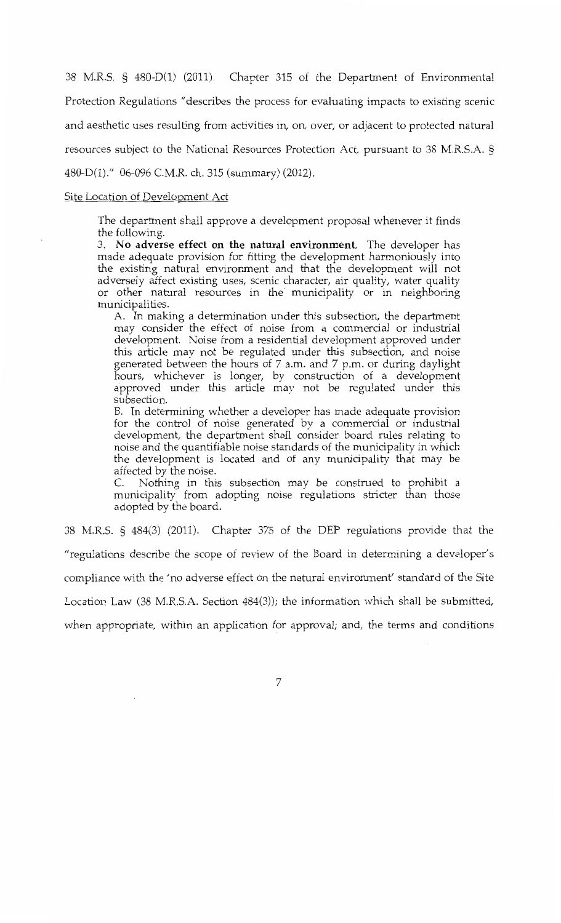38 M.R.S. § 480-D(l) (2011). Chapter 315 of the Department of Environmental Protection Regulations "describes the process for evaluating impacts to existing scenic and aesthetic uses resulting from activities in, on, over, or adjacent to protected natural resources subject to the National Resources Protection Act, pursuant to 38 M.R.S.A. § 480-D(1)." 06-096 C.M.R. ch. 315 (summary) (2012).

#### Site Location of Development Act

The department shall approve a development proposal whenever it finds the following.

3. **No adverse effect on the natural environment.** The developer has made adequate provision for fitting the development harmoniously into the existing natural environment and that the development will not adversely affect existing uses, scenic character, air quality, water quality or other natural resources in the· municipality or in neighboring municipalities.

A. In making a determination under this subsection, the department may consider the effect of noise from a commercial or industrial development. Noise from a residential development approved under this article may not be regulated under this subsection, and noise generated between the hours of 7 a.m. and 7 p.m. or during daylight hours, whichever is longer, by construction of a development approved under this article may not be regulated under this subsection.

B. In determining whether a developer has made adequate provision for the control of noise generated by a commercial or industrial development, the department shall consider board rules relating to noise and the quantifiable noise standards of the municipality in which the development is located and of any municipality that may be affected by the noise.

C. Nothing in this subsection may be construed to prohibit a municipality from adopting noise regulations stricter than those adopted by the board.

38 M.R.S. § 484(3) (2011). Chapter 375 of the DEP regulations provide that the

"regulations describe the scope of review of the Board in determining a developer's

compliance with the 'no adverse effect on the natural environment' standard of the Site

Location Law (38 M.R.S.A. Section 484(3)); the information which shall be submitted,

when appropriate, within an application for approval; and, the terms and conditions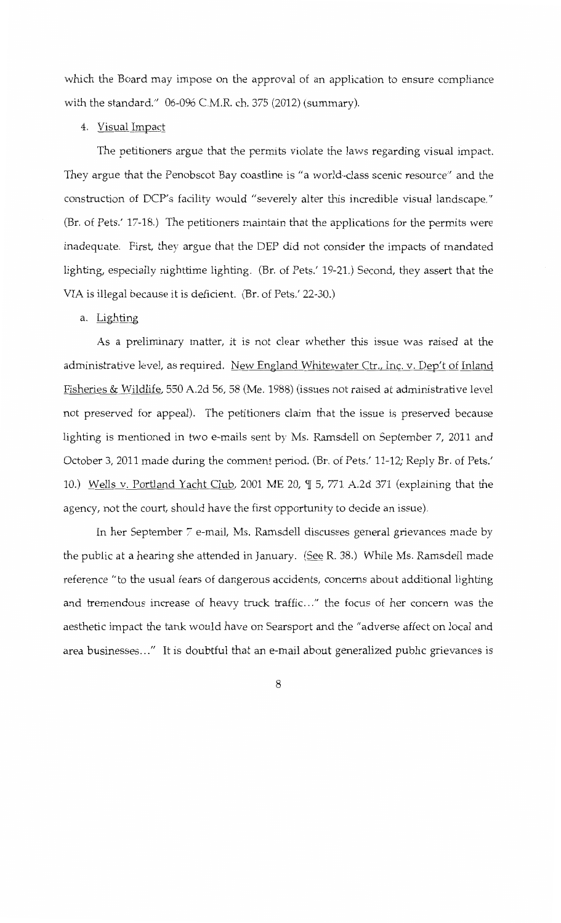which the Board may impose on the approval of an application to ensure compliance with the standard." 06-096 C.M.R. ch. 375 (2012) (summary).

# 4. Visual Impact

The petitioners argue that the permits violate the laws regarding visual impact. They argue that the Penobscot Bay coastline is "a world-class scenic resource" and the construction of DCP's facility would "severely alter this incredible visual landscape." (Br. of Pets.' 17-18.) The petitioners maintain that the applications for the permits were inadequate. First, they argue that the DEP did not consider the impacts of mandated lighting, especially nighttime lighting. (Br. of Pets.' 19-21.) Second, they assert that the VIA is illegal because it is deficient. (Br. of Pets.' 22-30.)

# a. Lighting

As a preliminary matter, it is not clear whether this issue was raised at the administrative level, as required. New England Whitewater Ctr., Inc. v. Dep't of Inland Fisheries & Wildlife, 550 A.2d 56, 58 (Me. 1988) (issues not raised at administrative level not preserved for appeal). The petitioners claim that the issue is preserved because lighting is mentioned in two e-mails sent by Ms. Ramsdell on September 7, 2011 and October 3, 2011 made during the comment period. (Br. of Pets.' 11-12; Reply Br. of Pets.' 10.) Wells v. Portland Yacht Club, 2001 ME 20, ¶ 5, 771 A.2d 371 (explaining that the agency, not the court, should have the first opportunity to decide an issue).

In her September 7 e-mail, Ms. Ramsdell discusses general grievances made by the public at a hearing she attended in January. (See R. 38.) While Ms. Ramsdell made reference "to the usual fears of dangerous accidents, concerns about additional lighting and tremendous increase of heavy truck traffic..." the focus of her concern was the aesthetic impact the tank would have on Searsport and the "adverse affect on local and area businesses ... " It is doubtful that an e-mail about generalized public grievances is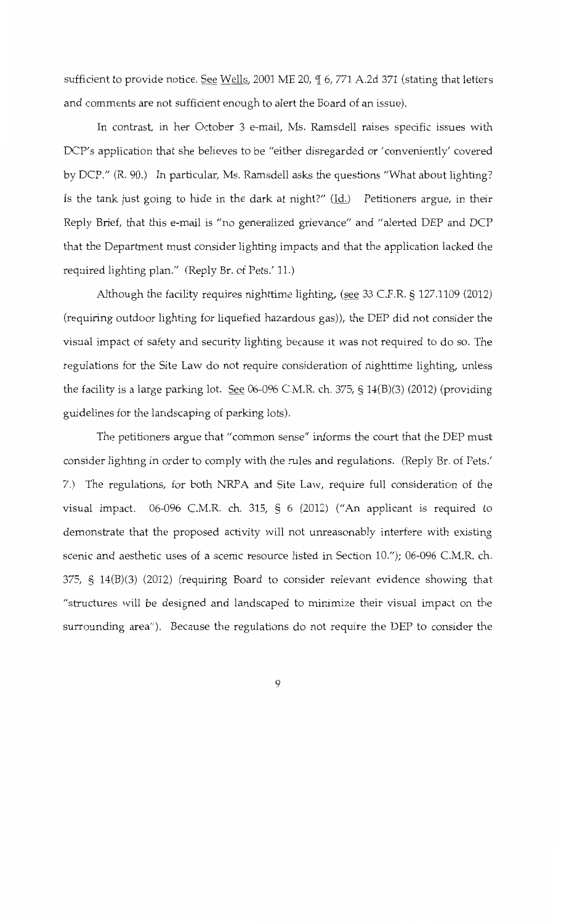sufficient to provide notice. See Wells, 2001 ME 20,  $\P$  6, 771 A.2d 371 (stating that letters and comments are not sufficient enough to alert the Board of an issue).

In contrast, in her October 3 e-mail, Ms. Ramsdell raises specific issues with DCP's application that she believes to be "either disregarded or 'conveniently' covered by DCP." (R. 90.) In particular, Ms. Ramsdell asks the questions "What about lighting? Is the tank just going to hide in the dark at night?"  $(\underline{Id})$  Petitioners argue, in their Reply Brief, that this e-mail is "no generalized grievance" and "alerted DEP and DCP that the Department must consider lighting impacts and that the application lacked the required lighting plan." (Reply Br. of Pets.' 11.)

Although the facility requires nighttime lighting, (see 33 C.P.R. § 127.1109 (2012) (requiring outdoor lighting for liquefied hazardous gas)), the DEP did not consider the visual impact of safety and security lighting because it was not required to do so. The regulations for the Site Law do not require consideration of nighttime lighting, unless the facility is a large parking lot. See 06-096 C.M.R. ch. 375, § 14(B)(3) (2012) (providing guidelines for the landscaping of parking lots).

The petitioners argue that "common sense" informs the court that the DEP must consider lighting in order to comply with the rules and regulations. (Reply Br. of Pets.' 7.) The regulations, for both NRPA and Site Law, require full consideration of the visual impact. 06-096 C.M.R. ch. 315, § 6 (2012) ("An applicant is required to demonstrate that the proposed activity will not unreasonably interfere with existing scenic and aesthetic uses of a scenic resource listed in Section 10."); 06-096 C.M.R. ch. 375, § 14(B)(3) (2012) (requiring Board to consider relevant evidence showing that "structures will be designed and landscaped to minimize their visual impact on the surrounding area"). Because the regulations do not require the DEP to consider the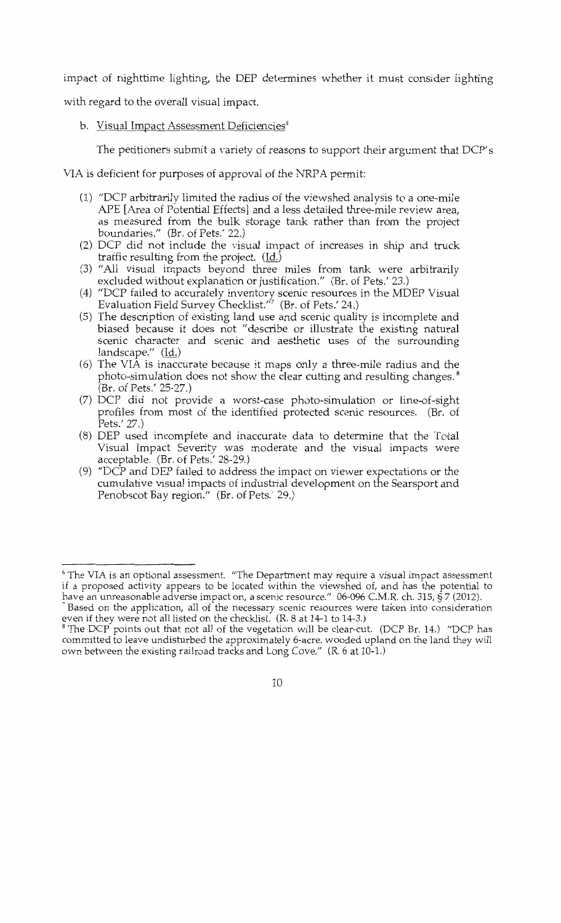impact of nighttime lighting, the DEP determines whether it must consider lighting

with regard to the overall visual impact.

# b. Visual Impact Assessment Deficiencies<sup>6</sup>

The petitioners submit a variety of reasons to support their argument that DCP's

VIA is deficient for purposes of approval of the NRPA permit:

- (1) "DCP arbitrarily limited the radius of the viewshed analysis to a one-mile APE [Area of Potential Effects] and a less detailed three-mile review area, as measured from the bulk storage tank rather than from the project boundaries." (Br. of Pets.' 22.)
- (2) DCP did not include the visual impact of increases in ship and truck traffic resulting from the project. (Id.)
- (3) "All visual impacts beyond three miles from tank were arbitrarily excluded without explanation or justification." (Br. of Pets.' 23.)
- (4) *<sup>11</sup>*DCP failed to accurately inventory scenic resources in the MDEP Visual Evaluation Field Survey Checklist."<sup>7</sup> (Br. of Pets.' 24.)
- (5) The description of existing land use and scenic quality is incomplete and biased because it does not "describe or illustrate the existing natural scenic character and scenic and aesthetic uses of the surrounding landscape." (Id.)
- (6) The VIA is inaccurate because it maps only a three-mile radius and the photo-simulation does not show the clear cutting and resulting changes.<sup>8</sup> (Br. of Pets.' 25-27.)
- (7) DCP did not provide a worst-case photo-simulation or line-of-sight profiles from most of the identified protected scenic resources. (Br. of Pets.' 27.)
- (8) DEP used incomplete and inaccurate data to determine that the Total Visual Impact Severity was moderate and the visual impacts were acceptable. (Br. of Pets.' 28-29.)
- (9) "DCP and DEP failed to address the impact on viewer expectations or the cumulative visual impacts of industrial development on the Searsport and Penobscot Bay region." (Br. of Pets.' 29.)

 $6$  The VIA is an optional assessment.  $\text{``The Department may require a visual impact assessment}$ if a proposed activity appears to be located within the viewshed of, and has the potential to

have an unreasonable adverse impact on, a scenic resource." 06-096 C.M.R. ch. 315, § 7 (2012).<br><sup>7</sup> Based on the application, all of the necessary scenic resources were taken into consideration even if they were not all listed on the checklist. (R. 8 at 14-1 to 14-3.)<br><sup>8</sup> The DCP points out that not all of the vegetation will be clear-cut. (DCP Br. 14.) "DCP has

committed to leave undisturbed the approximately 6-acre, wooded upland on the land they will own between the existing railroad tracks and Long Cove." (R. 6 at 10-1.)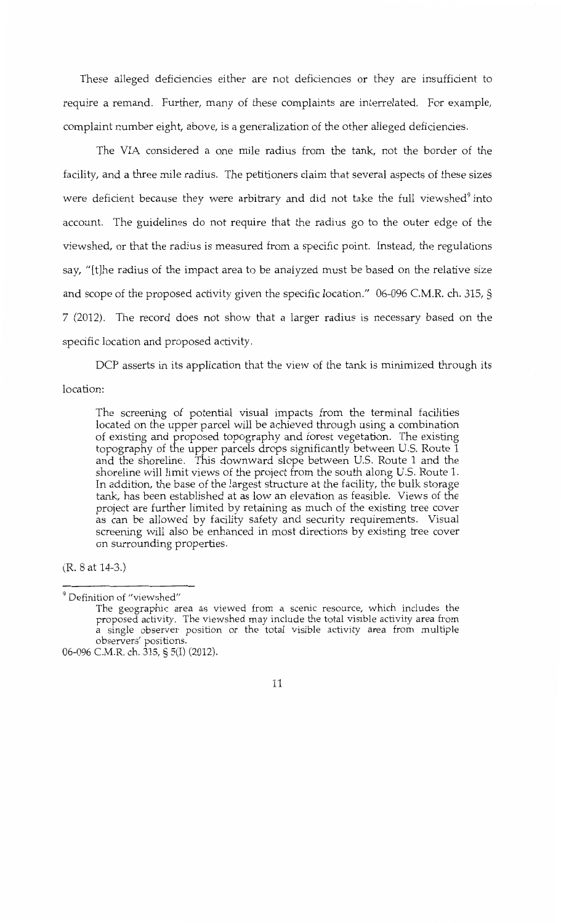These alleged deficiencies either are not deficiencies or they are insufficient to require a remand. Further, many of these complaints are interrelated. For example, complaint number eight, above, is a generalization of the other alleged deficiencies.

The VIA considered a one mile radius from the tank, not the border of the facility, and a three mile radius. The petitioners claim that several aspects of these sizes were deficient because they were arbitrary and did not take the full viewshed<sup>9</sup> into account. The guidelines do not require that the radius go to the outer edge of the viewshed, or that the radius is measured from a specific point. Instead, the regulations say, "[t]he radius of the impact area to be analyzed must be based on the relative size and scope of the proposed activity given the specific location." 06-096 C.M.R. ch. 315, § 7 (2012). The record does not show that a larger radius is necessary based on the specific location and proposed activity.

DCP asserts in its application that the view of the tank is minimized through its location:

The screening of potential visual impacts from the terminal facilities located on the upper parcel will be achieved through using a combination of existing and proposed topography and forest vegetation. The existing topography of the upper parcels drops significantly between U.S. Route 1 and the shoreline. This downward slope between U.S. Route 1 and the shoreline will limit views of the project from the south along U.S. Route 1. In addition, the base of the largest structure at the facility, the bulk storage tank, has been established at as low an elevation as feasible. Views of the project are further limited by retaining as much of the existing tree cover as can be allowed by facility safety and security requirements. Visual screening will also be enhanced in most directions by existing tree cover on surrounding properties.

(R. 8 at 14-3.)

<sup>9</sup> Definition of "viewshed"

The geographic area as viewed from a scenic resource, which includes the proposed activity. The viewshed may include the total visible activity area from a single observer position or the total visible activity area from multiple observers' positions.

<sup>06-096</sup> C.M.R. ch. 315, § S(I) (2012).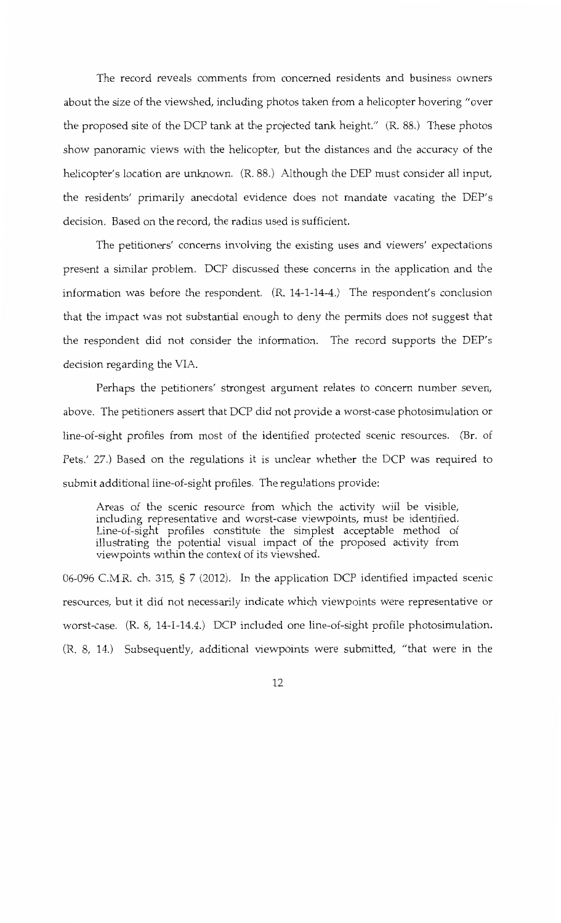The record reveals comments from concerned residents and business owners about the size of the viewshed, including photos taken from a helicopter hovering "over the proposed site of the DCP tank at the projected tank height." (R. 88.) These photos show panoramic views with the helicopter, but the distances and the accuracy of the helicopter's location are unknown. (R. 88.) Although the DEP must consider all input, the residents' primarily anecdotal evidence does not mandate vacating the DEP's decision. Based on the record, the radius used is sufficient.

The petitioners' concerns involving the existing uses and viewers' expectations present a similar problem. DCP discussed these concerns in the application and the information was before the respondent. (R. 14-1-14-4.) The respondent's conclusion that the impact was not substantial enough to deny the permits does not suggest that the respondent did not consider the information. The record supports the DEP's decision regarding the VIA.

Perhaps the petitioners' strongest argument relates to concern number seven, above. The petitioners assert that DCP did not provide a worst-case photosimulation or line-of-sight profiles from most of the identified protected scenic resources. (Br. of Pets.' 27.) Based on the regulations it is unclear whether the DCP was required to submit additional line-of-sight profiles. The regulations provide:

Areas of the scenic resource from which the activity will be visible, including representative and worst-case viewpoints, must be identified. Line-of-sight profiles constitute the simplest acceptable method of illustrating the potential visual impact of the proposed activity from viewpoints within the context of its viewshed.

06-096 C.M.R. ch. 315, § 7 (2012). In the application DCP identified impacted scenic resources, but it did not necessarily indicate which viewpoints were representative or worst-case. (R. 8, 14-1-14.4.) DCP included one line-of-sight profile photosimulation. (R. 8, 14.) Subsequently, additional viewpoints were submitted, "that were in the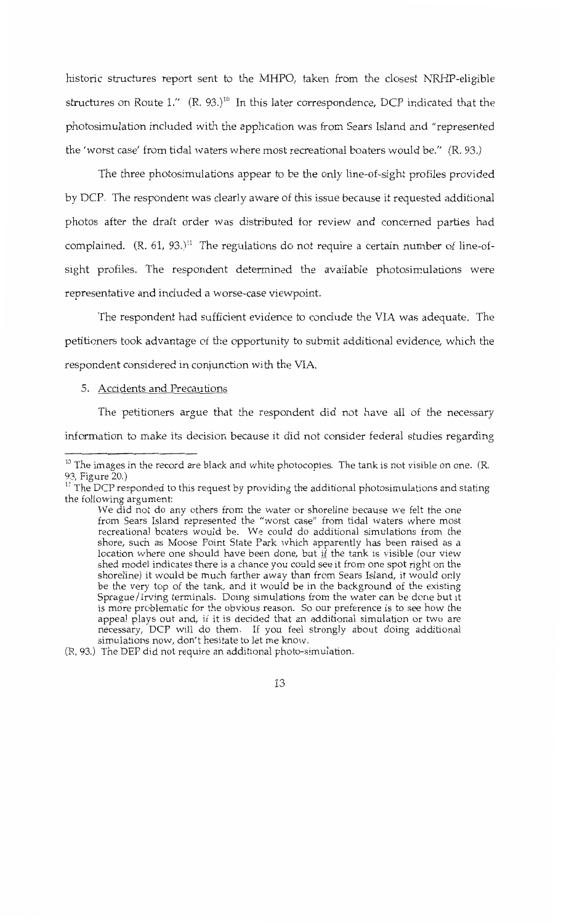historic structures report sent to the MHPO, taken from the closest NRHP-eligible structures on Route  $1.''$   $(R. 93.)^{10}$  In this later correspondence, DCP indicated that the photosimulation included with the application was from Sears Island and "represented the 'worst case' from tidal waters where most recreational boaters would be." (R. 93.)

The three photosimulations appear to be the only line-of-sight profiles provided by DCP. The respondent was clearly aware of this issue because it requested additional photos after the draft order was distributed for review and concerned parties had complained.  $(R. 61, 93.)$ <sup>11</sup> The regulations do not require a certain number of line-ofsight profiles. The respondent determined the available photosimulations were representative and included a worse-case viewpoint.

The respondent had sufficient evidence to conclude the VIA was adequate. The petitioners took advantage of the opportunity to submit additional evidence, which the respondent considered in conjunction with the VIA.

#### 5. Accidents and Precautions

The petitioners argue that the respondent did not have all of the necessary information to make its decision because it did not consider federal studies regarding

 $10$  The images in the record are black and white photocopies. The tank is not visible on one. (R.

<sup>93,</sup> Figure 20.)<br><sup>11</sup> The DCP responded to this request by providing the additional photosimulations and stating the following argument:

We did not do any others from the water or shoreline because we felt the one from Sears Island represented the "worst case" from tidal waters where most recreational boaters would be. We could do additional simulations from the shore, such as Moose Point State Park which apparently has been raised as a location where one should have been done, but  $\overline{if}$  the tank is visible (our view shed model indicates there is a chance you could see it from one spot right on the shoreline) it would be much farther away than from Sears Island, it would only be the very top of the tank, and it would be in the background of the existing Sprague/Irving terminals. Doing simulations from the water can be done but it is more problematic for the obvious reason. So our preference is to see how the appeal plays out and, if it is decided that an additional simulation or two are necessary, DCP will do them. If you feel strongly about doing additional simulations now, don't hesitate to let me know.

<sup>(</sup>R. 93.) The DEP did not require an additional photo-simulation.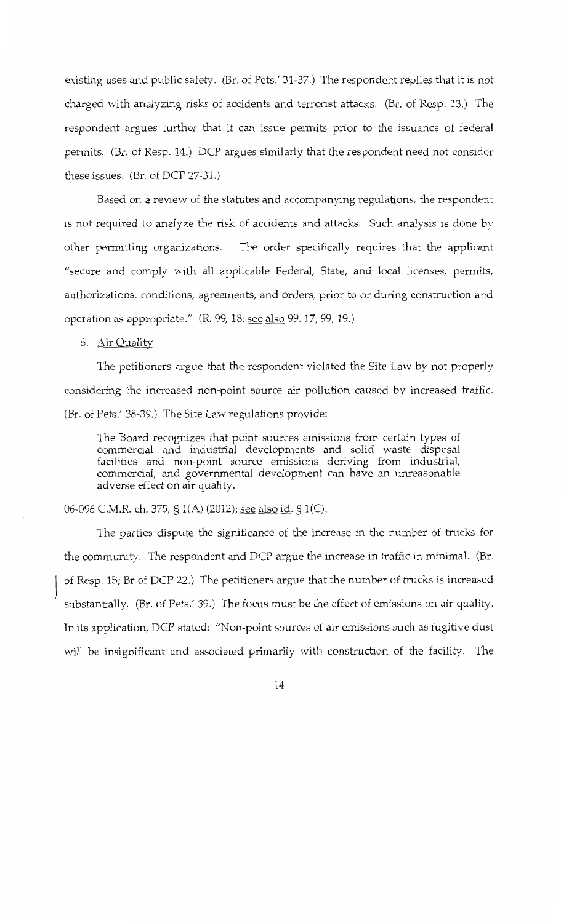existing uses and public safety. (Br. of Pets.' 31-37.) The respondent replies that it is not charged with analyzing risks of accidents and terrorist attacks. (Br. of Resp. 13.) The respondent argues further that it can issue permits prior to the issuance of federal permits. (Br. of Resp. 14.) DCP argues similarly that the respondent need not consider these issues. (Br. of DCP 27-31.)

Based on a review of the statutes and accompanying regulations, the respondent is not required to analyze the risk of accidents and attacks. Such analysis is done by other permitting organizations. The order specifically requires that the applicant "secure and comply with all applicable Federal, State, and local licenses, permits, authorizations, conditions, agreements, and orders, prior to or during construction and operation as appropriate." (R. 99, 18; see also 99, 17; 99, 19.)

6. Air Quality

The petitioners argue that the respondent violated the Site Law by not properly considering the increased non-point source air pollution caused by increased traffic. (Br. of Pets.' 38-39.) The Site Law regulations provide:

The Board recognizes that point sources emissions from certain types of commercial and industrial developments and solid waste disposal facilities and non-point source emissions deriving from industrial, commercial, and governmental development can have an unreasonable adverse effect on air quality.

06-096 C.M.R. ch. 375, § 1(A) (2012); <u>see also id</u>. § 1(C).

The parties dispute the significance of the increase in the number of trucks for the community. The respondent and DCP argue the increase in traffic in minimal. (Br. of Resp. 15; Br of DCP 22.) The petitioners argue that the number of trucks is increased substantially. (Br. of Pets.' 39.) The focus must be the effect of emissions on air quality. In its application, DCP stated: "Non-point sources of air emissions such as fugitive dust will be insignificant and associated primarily with construction of the facility. The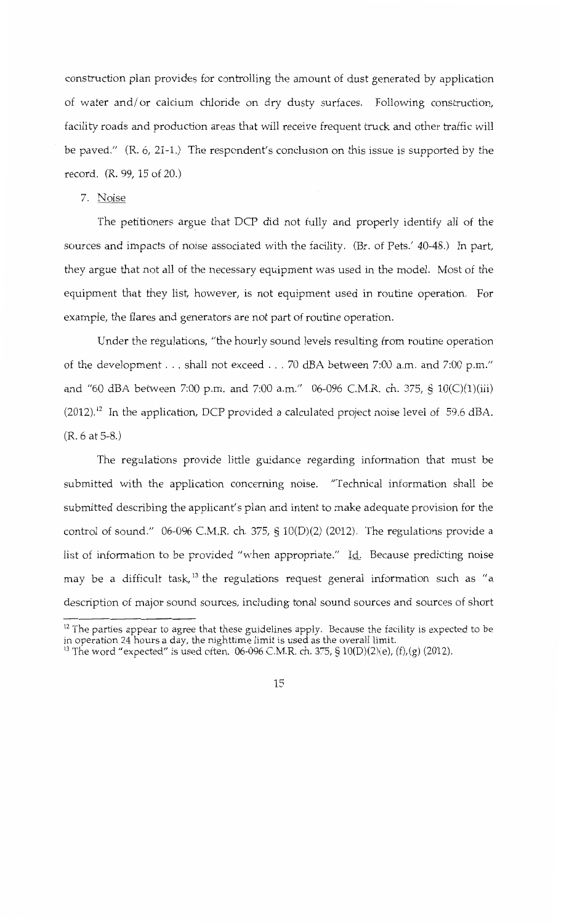construction plan provides for controlling the amount of dust generated by application of water and/ or calcium chloride on dry dusty surfaces. Following construction, facility roads and production areas that will receive frequent truck and other traffic will be paved." (R. 6, 21-1.) The respondent's conclusion on this issue is supported by the record. (R. 99, 15 of 20.)

# 7. Noise

The petitioners argue that DCP did not fully and properly identify all of the sources and impacts of noise associated with the facility. (Br. of Pets.' 40-48.) In part, they argue that not all of the necessary equipment was used in the model. Most of the equipment that they list, however, is not equipment used in routine operation. For example, the flares and generators are not part of routine operation.

Under the regulations, "the hourly sound levels resulting from routine operation of the development . . . shall not exceed . . . 70 dBA between 7:00 a.m. and 7:00 p.m." and "60 dBA between 7:00 p.m. and 7:00 a.m." 06-096 C.M.R. ch. 375, § 10(C)(1)(iii)  $(2012).$ <sup>12</sup> In the application, DCP provided a calculated project noise level of 59.6 dBA. (R. 6 at 5-8.)

The regulations provide little guidance regarding information that must be submitted with the application concerning noise. "Technical information shall be submitted describing the applicant's plan and intent to make adequate provision for the control of sound." 06-096 C.M.R. ch. 375, § 10(D)(2) (2012). The regulations provide a list of information to be provided "when appropriate." Id. Because predicting noise may be a difficult task,<sup>13</sup> the regulations request general information such as "a description of major sound sources, including tonal sound sources and sources of short

 $12$  The parties appear to agree that these guidelines apply. Because the facility is expected to be in operation 24 hours a day, the nighttime limit is used as the overall limit.

<sup>&</sup>lt;sup>13</sup> The word "expected" is used often. 06-096 C.M.R. ch. 375, § 10(D)(2)(e), (f),(g) (2012).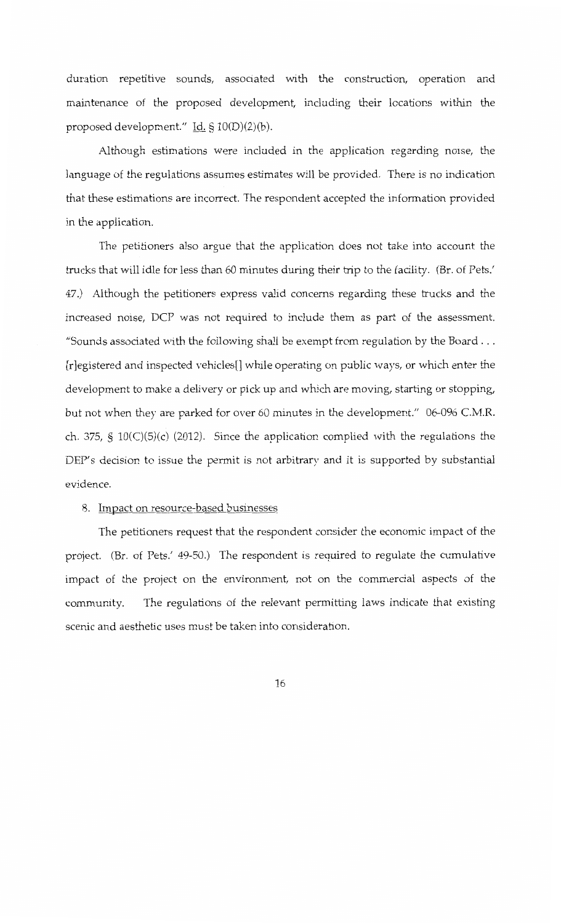duration repetitive sounds, associated with the construction, operation and maintenance of the proposed development, including their locations within the proposed development." Id. § 10(D)(2)(b).

Although estimations were included in the application regarding noise, the language of the regulations assumes estimates will be provided. There is no indication that these estimations are incorrect. The respondent accepted the information provided in the application.

The petitioners also argue that the application does not take into account the trucks that will idle for less than 60 minutes during their trip to the facility. (Br. of Pets.' 47.) Although the petitioners express valid concerns regarding these trucks and the increased noise, DCP was not required to include them as part of the assessment. "Sounds associated with the following shall be exempt from regulation by the Board ... [r]egistered and inspected vehicles[] while operating on public ways, or which enter the development to make a delivery or pick up and which are moving, starting or stopping, but not when they are parked for over 60 minutes in the development." 06-096 C.M.R. ch. 375, §  $10(C)(5)(c)$  (2012). Since the application complied with the regulations the DEP's decision to issue the permit is not arbitrary and it is supported by substantial evidence.

## 8. Impact on resource-based businesses

The petitioners request that the respondent consider the economic impact of the project. (Br. of Pets.' 49-50.) The respondent is required to regulate the cumulative impact of the project on the environment, not on the commercial aspects of the community. The regulations of the relevant permitting laws indicate that existing scenic and aesthetic uses must be taken into consideration.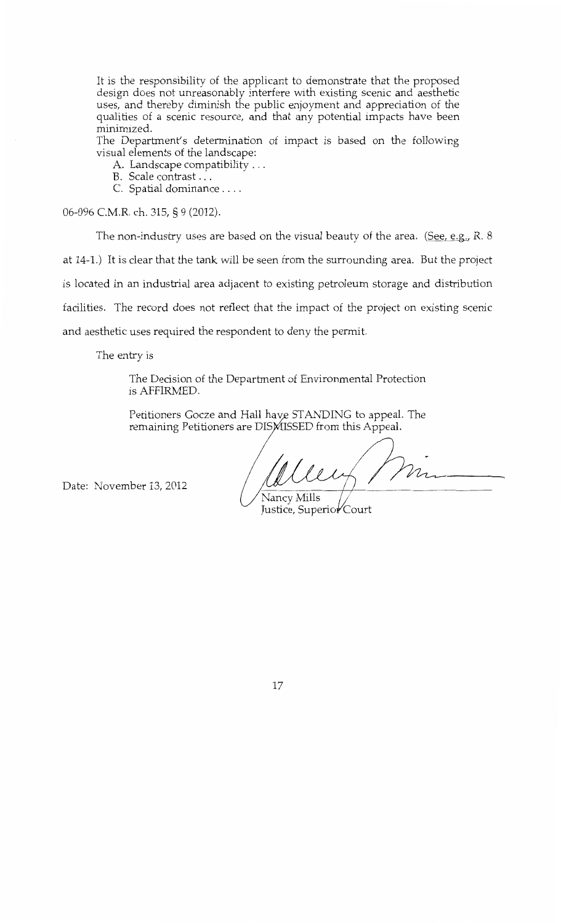It is the responsibility of the applicant to demonstrate that the proposed design does not unreasonably interfere with existing scenic and aesthetic uses, and thereby diminish the public enjoyment and appreciation of the qualities of a scenic resource, and that any potential impacts have been minimized.

The Department's determination of impact is based on the following visual elements of the landscape:

A. Landscape compatibility ...

*B.* Scale contrast ...

C. Spatial dominance ....

06-096 C.M.R. ch. 315, § 9 (2012).

The non-industry uses are based on the visual beauty of the area. (See, e.g., R. 8) at 14-1.) It is clear that the tank will be seen from the surrounding area. But the project is located in an industrial area adjacent to existing petroleum storage and distribution facilities. The record does not reflect that the impact of the project on existing scenic and aesthetic uses required the respondent to deny the permit.

The entry is

The Decision of the Department of Environmental Protection is AFFIRMED.

Petitioners Gocze and Hall have STANDING to appeal. The remaining Petitioners are DISMISSED from this Appeal.

Date: November 13, 2012

Nancy Mills Justice, Superior Court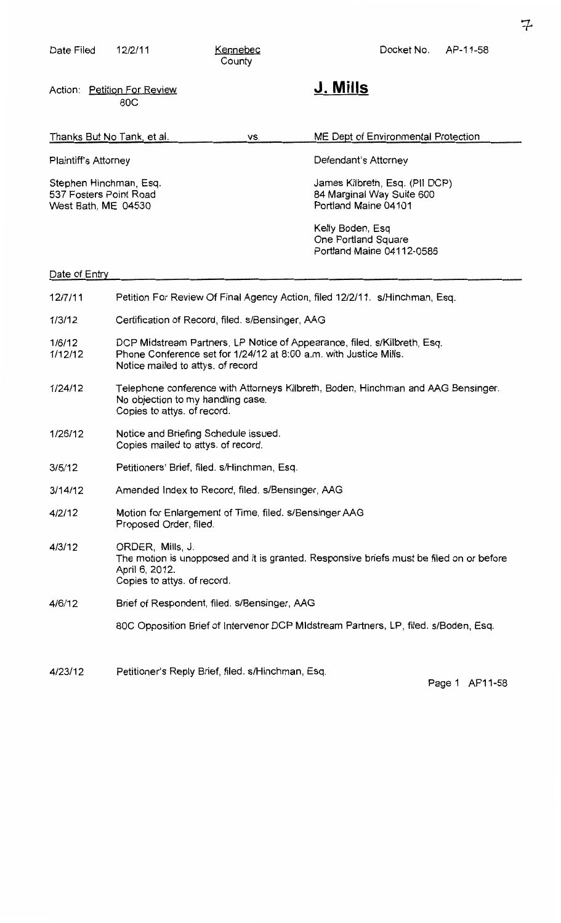| Date Filed                                                              | 12/2/11                                                                                                                                                                            | Kennebec<br>County                                                                  | Docket No.<br>AP-11-58                                                              |
|-------------------------------------------------------------------------|------------------------------------------------------------------------------------------------------------------------------------------------------------------------------------|-------------------------------------------------------------------------------------|-------------------------------------------------------------------------------------|
|                                                                         | Action: Petition For Review<br>80C                                                                                                                                                 |                                                                                     | J. Mills                                                                            |
| Thanks But No Tank, et al.                                              |                                                                                                                                                                                    | VS.                                                                                 | ME Dept of Environmental Protection                                                 |
| <b>Plaintiff's Attorney</b>                                             |                                                                                                                                                                                    |                                                                                     | Defendant's Attorney                                                                |
| Stephen Hinchman, Esq.<br>537 Fosters Point Road<br>West Bath, ME 04530 |                                                                                                                                                                                    | James Kilbreth, Esq. (PII DCP)<br>84 Marginal Way Suite 600<br>Portland Maine 04101 |                                                                                     |
|                                                                         |                                                                                                                                                                                    |                                                                                     | Kelly Boden, Esq<br>One Portland Square<br>Portland Maine 04112-0586                |
| Date of Entry                                                           |                                                                                                                                                                                    |                                                                                     |                                                                                     |
| 12/7/11                                                                 | Petition For Review Of Final Agency Action, filed 12/2/11. s/Hinchman, Esq.                                                                                                        |                                                                                     |                                                                                     |
| 1/3/12                                                                  | Certification of Record, filed. s/Bensinger, AAG                                                                                                                                   |                                                                                     |                                                                                     |
| 1/6/12<br>1/12/12                                                       | DCP Midstream Partners, LP Notice of Appearance, filed. s/Kilbreth, Esq.<br>Phone Conference set for 1/24/12 at 8:00 a.m. with Justice Mills.<br>Notice mailed to attys. of record |                                                                                     |                                                                                     |
| 1/24/12                                                                 | Telephone conference with Attorneys Kilbreth, Boden, Hinchman and AAG Bensinger.<br>No objection to my handling case.<br>Copies to attys. of record.                               |                                                                                     |                                                                                     |
| 1/26/12                                                                 | Notice and Briefing Schedule issued.<br>Copies mailed to attys. of record.                                                                                                         |                                                                                     |                                                                                     |
| 3/5/12                                                                  | Petitioners' Brief, filed. s/Hinchman, Esq.                                                                                                                                        |                                                                                     |                                                                                     |
| 3/14/12                                                                 | Amended Index to Record, filed. s/Bensinger, AAG                                                                                                                                   |                                                                                     |                                                                                     |
| 4/2/12                                                                  | Motion for Enlargement of Time, filed. s/Bensinger AAG<br>Proposed Order, filed.                                                                                                   |                                                                                     |                                                                                     |
| 4/3/12                                                                  | ORDER, Mills, J.<br>The motion is unopposed and it is granted. Responsive briefs must be filed on or before<br>April 6, 2012.<br>Copies to attys. of record.                       |                                                                                     |                                                                                     |
| 4/6/12                                                                  | Brief of Respondent, filed. s/Bensinger, AAG                                                                                                                                       |                                                                                     |                                                                                     |
|                                                                         |                                                                                                                                                                                    |                                                                                     | 80C Opposition Brief of Intervenor DCP Midstream Partners, LP, filed. s/Boden, Esq. |
|                                                                         |                                                                                                                                                                                    |                                                                                     |                                                                                     |

4/23/12 Petitioner's Reply Brief, filed. s/Hinchman, Esq.